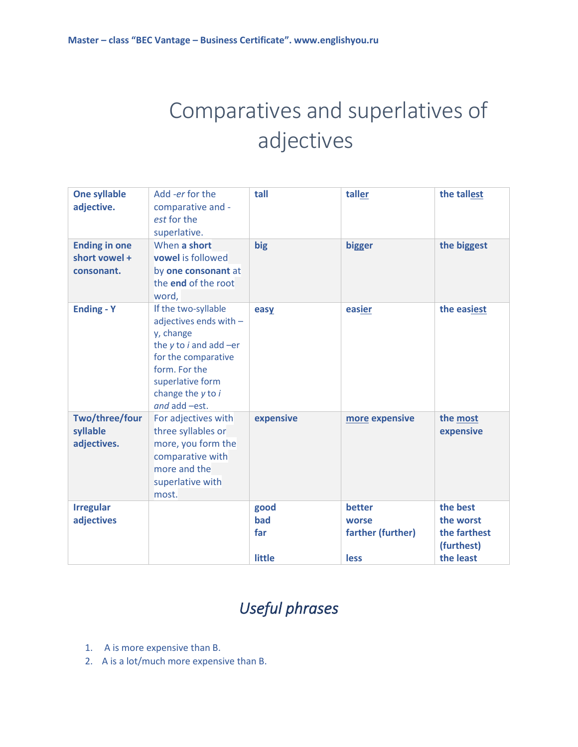## Comparatives and superlatives of adjectives

| <b>One syllable</b><br>adjective.                   | Add -er for the<br>comparative and -<br>est for the<br>superlative.                                                                                                                          | tall                         | taller                                              | the tallest                                                      |
|-----------------------------------------------------|----------------------------------------------------------------------------------------------------------------------------------------------------------------------------------------------|------------------------------|-----------------------------------------------------|------------------------------------------------------------------|
| <b>Ending in one</b><br>short vowel +<br>consonant. | When a short<br>vowel is followed<br>by one consonant at<br>the end of the root<br>word,                                                                                                     | big                          | bigger                                              | the biggest                                                      |
| <b>Ending - Y</b>                                   | If the two-syllable<br>adjectives ends with -<br>y, change<br>the $y$ to $i$ and add $-er$<br>for the comparative<br>form. For the<br>superlative form<br>change the y to i<br>and add -est. | easy                         | easier                                              | the easiest                                                      |
| Two/three/four<br>syllable<br>adjectives.           | For adjectives with<br>three syllables or<br>more, you form the<br>comparative with<br>more and the<br>superlative with<br>most.                                                             | expensive                    | more expensive                                      | the most<br>expensive                                            |
| <b>Irregular</b><br>adjectives                      |                                                                                                                                                                                              | good<br>bad<br>far<br>little | better<br>worse<br>farther (further)<br><b>less</b> | the best<br>the worst<br>the farthest<br>(furthest)<br>the least |

## *Useful phrases*

- 1. A is more expensive than B.
- 2. A is a lot/much more expensive than B.